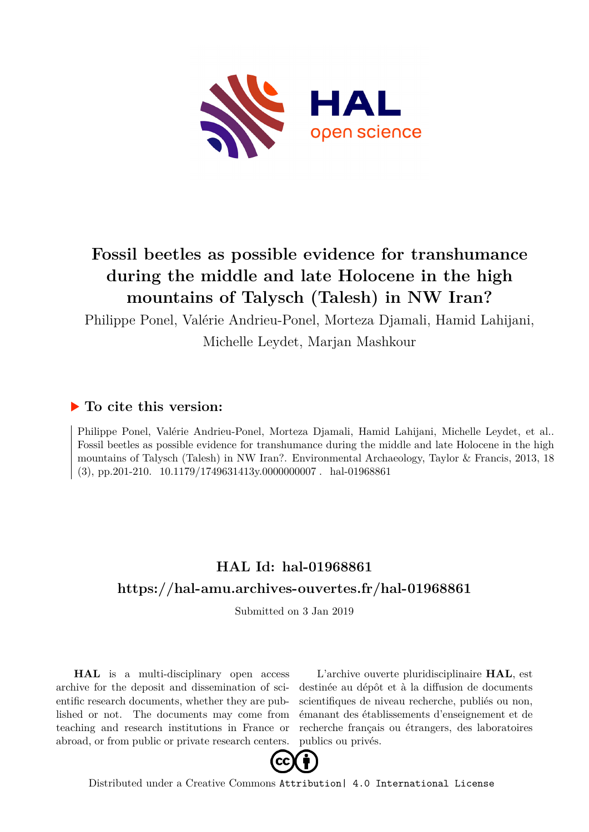

# **Fossil beetles as possible evidence for transhumance during the middle and late Holocene in the high mountains of Talysch (Talesh) in NW Iran?**

Philippe Ponel, Valérie Andrieu-Ponel, Morteza Djamali, Hamid Lahijani,

Michelle Leydet, Marjan Mashkour

## **To cite this version:**

Philippe Ponel, Valérie Andrieu-Ponel, Morteza Djamali, Hamid Lahijani, Michelle Leydet, et al.. Fossil beetles as possible evidence for transhumance during the middle and late Holocene in the high mountains of Talysch (Talesh) in NW Iran?. Environmental Archaeology, Taylor & Francis, 2013, 18 (3), pp.201-210.  $10.1179/1749631413y.0000000007$ . hal-01968861

## **HAL Id: hal-01968861 <https://hal-amu.archives-ouvertes.fr/hal-01968861>**

Submitted on 3 Jan 2019

**HAL** is a multi-disciplinary open access archive for the deposit and dissemination of scientific research documents, whether they are published or not. The documents may come from teaching and research institutions in France or abroad, or from public or private research centers.

L'archive ouverte pluridisciplinaire **HAL**, est destinée au dépôt et à la diffusion de documents scientifiques de niveau recherche, publiés ou non, émanant des établissements d'enseignement et de recherche français ou étrangers, des laboratoires publics ou privés.



Distributed under a Creative Commons [Attribution| 4.0 International License](http://creativecommons.org/licenses/by/4.0/)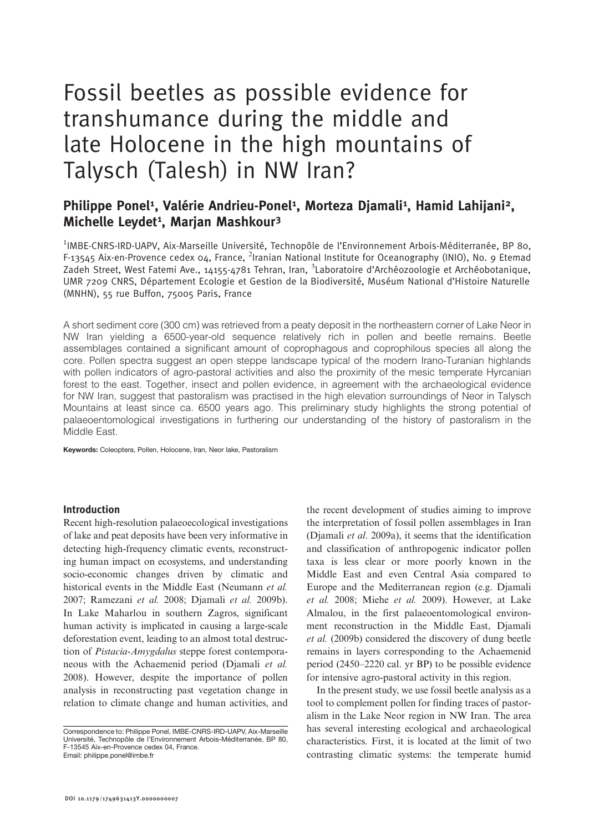# Fossil beetles as possible evidence for transhumance during the middle and late Holocene in the high mountains of Talysch (Talesh) in NW Iran?

### Philippe Ponel<sup>1</sup>, Valérie Andrieu-Ponel<sup>1</sup>, Morteza Djamali<sup>1</sup>, Hamid Lahijani<sup>2</sup>, Michelle Leydet<sup>1</sup>, Marjan Mashkour<sup>3</sup>

<sup>1</sup>IMBE-CNRS-IRD-UAPV, Aix-Marseille Université, Technopôle de l'Environnement Arbois-Méditerranée, BP 80, F-13545 Aix-en-Provence cedex 04, France, <sup>2</sup>Iranian National Institute for Oceanography (INIO), No. 9 Etemad Zadeh Street, West Fatemi Ave., 14155-4781 Tehran, Iran, <sup>3</sup>Laboratoire d'Archéozoologie et Archéobotanique, UMR 7209 CNRS, Département Ecologie et Gestion de la Biodiversité, Muséum National d'Histoire Naturelle (MNHN), 55 rue Buffon, 75005 Paris, France

A short sediment core (300 cm) was retrieved from a peaty deposit in the northeastern corner of Lake Neor in NW Iran yielding a 6500-year-old sequence relatively rich in pollen and beetle remains. Beetle assemblages contained a significant amount of coprophagous and coprophilous species all along the core. Pollen spectra suggest an open steppe landscape typical of the modern Irano-Turanian highlands with pollen indicators of agro-pastoral activities and also the proximity of the mesic temperate Hyrcanian forest to the east. Together, insect and pollen evidence, in agreement with the archaeological evidence for NW Iran, suggest that pastoralism was practised in the high elevation surroundings of Neor in Talysch Mountains at least since ca. 6500 years ago. This preliminary study highlights the strong potential of palaeoentomological investigations in furthering our understanding of the history of pastoralism in the Middle East.

Keywords: Coleoptera, Pollen, Holocene, Iran, Neor lake, Pastoralism

#### Introduction

Recent high-resolution palaeoecological investigations of lake and peat deposits have been very informative in detecting high-frequency climatic events, reconstructing human impact on ecosystems, and understanding socio-economic changes driven by climatic and historical events in the Middle East (Neumann et al. 2007; Ramezani et al. 2008; Djamali et al. 2009b). In Lake Maharlou in southern Zagros, significant human activity is implicated in causing a large-scale deforestation event, leading to an almost total destruction of Pistacia-Amygdalus steppe forest contemporaneous with the Achaemenid period (Djamali et al. 2008). However, despite the importance of pollen analysis in reconstructing past vegetation change in relation to climate change and human activities, and the recent development of studies aiming to improve the interpretation of fossil pollen assemblages in Iran (Djamali et al. 2009a), it seems that the identification and classification of anthropogenic indicator pollen taxa is less clear or more poorly known in the Middle East and even Central Asia compared to Europe and the Mediterranean region (e.g. Djamali et al. 2008; Miehe et al. 2009). However, at Lake Almalou, in the first palaeoentomological environment reconstruction in the Middle East, Djamali et al. (2009b) considered the discovery of dung beetle remains in layers corresponding to the Achaemenid period (2450–2220 cal. yr BP) to be possible evidence for intensive agro-pastoral activity in this region.

In the present study, we use fossil beetle analysis as a tool to complement pollen for finding traces of pastoralism in the Lake Neor region in NW Iran. The area has several interesting ecological and archaeological characteristics. First, it is located at the limit of two contrasting climatic systems: the temperate humid

Correspondence to: Philippe Ponel, IMBE-CNRS-IRD-UAPV, Aix-Marseille Université, Technopôle de l'Environnement Arbois-Méditerranée, BP 80, F-13545 Aix-en-Provence cedex 04, France. Email: [philippe.ponel@imbe.fr](mailto:philippe.ponel@imbe.fr)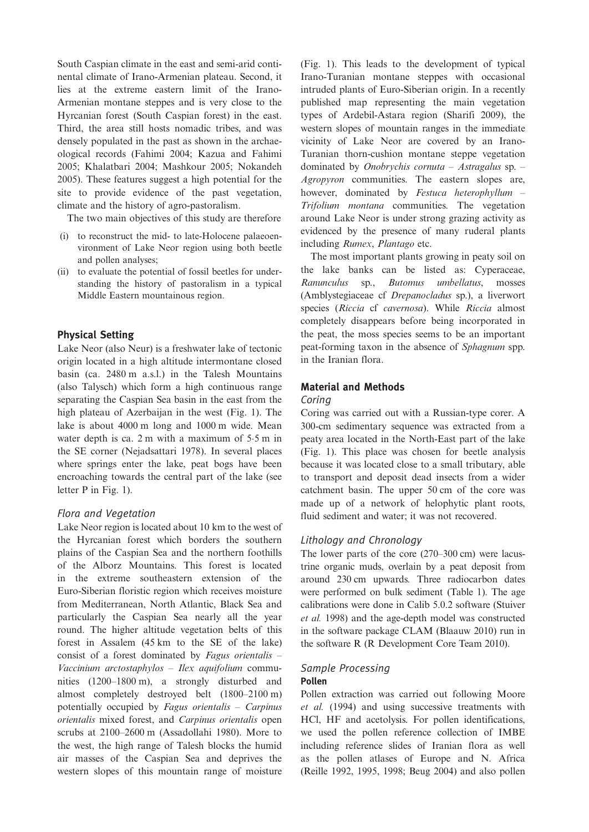South Caspian climate in the east and semi-arid continental climate of Irano-Armenian plateau. Second, it lies at the extreme eastern limit of the Irano-Armenian montane steppes and is very close to the Hyrcanian forest (South Caspian forest) in the east. Third, the area still hosts nomadic tribes, and was densely populated in the past as shown in the archaeological records (Fahimi 2004; Kazua and Fahimi 2005; Khalatbari 2004; Mashkour 2005; Nokandeh 2005). These features suggest a high potential for the site to provide evidence of the past vegetation, climate and the history of agro-pastoralism.

The two main objectives of this study are therefore

- (i) to reconstruct the mid- to late-Holocene palaeoenvironment of Lake Neor region using both beetle and pollen analyses;
- (ii) to evaluate the potential of fossil beetles for understanding the history of pastoralism in a typical Middle Eastern mountainous region.

#### Physical Setting

Lake Neor (also Neur) is a freshwater lake of tectonic origin located in a high altitude intermontane closed basin (ca. 2480 m a.s.l.) in the Talesh Mountains (also Talysch) which form a high continuous range separating the Caspian Sea basin in the east from the high plateau of Azerbaijan in the west (Fig. 1). The lake is about 4000 m long and 1000 m wide. Mean water depth is ca. 2 m with a maximum of 5·5 m in the SE corner (Nejadsattari 1978). In several places where springs enter the lake, peat bogs have been encroaching towards the central part of the lake (see letter P in Fig. 1).

#### Flora and Vegetation

Lake Neor region is located about 10 km to the west of the Hyrcanian forest which borders the southern plains of the Caspian Sea and the northern foothills of the Alborz Mountains. This forest is located in the extreme southeastern extension of the Euro-Siberian floristic region which receives moisture from Mediterranean, North Atlantic, Black Sea and particularly the Caspian Sea nearly all the year round. The higher altitude vegetation belts of this forest in Assalem (45 km to the SE of the lake) consist of a forest dominated by Fagus orientalis – Vaccinium arctostaphylos – Ilex aquifolium communities (1200–1800 m), a strongly disturbed and almost completely destroyed belt (1800–2100 m) potentially occupied by Fagus orientalis – Carpinus orientalis mixed forest, and Carpinus orientalis open scrubs at 2100–2600 m (Assadollahi 1980). More to the west, the high range of Talesh blocks the humid air masses of the Caspian Sea and deprives the western slopes of this mountain range of moisture

(Fig. 1). This leads to the development of typical Irano-Turanian montane steppes with occasional intruded plants of Euro-Siberian origin. In a recently published map representing the main vegetation types of Ardebil-Astara region (Sharifi 2009), the western slopes of mountain ranges in the immediate vicinity of Lake Neor are covered by an Irano-Turanian thorn-cushion montane steppe vegetation dominated by Onobrychis cornuta – Astragalus sp. – Agropyron communities. The eastern slopes are, however, dominated by Festuca heterophyllum – Trifolium montana communities. The vegetation around Lake Neor is under strong grazing activity as evidenced by the presence of many ruderal plants including Rumex, Plantago etc.

The most important plants growing in peaty soil on the lake banks can be listed as: Cyperaceae, Ranunculus sp., Butomus umbellatus, mosses (Amblystegiaceae cf Drepanocladus sp.), a liverwort species (Riccia cf cavernosa). While Riccia almost completely disappears before being incorporated in the peat, the moss species seems to be an important peat-forming taxon in the absence of Sphagnum spp. in the Iranian flora.

#### Material and Methods

#### Coring

Coring was carried out with a Russian-type corer. A 300-cm sedimentary sequence was extracted from a peaty area located in the North-East part of the lake (Fig. 1). This place was chosen for beetle analysis because it was located close to a small tributary, able to transport and deposit dead insects from a wider catchment basin. The upper 50 cm of the core was made up of a network of helophytic plant roots, fluid sediment and water; it was not recovered.

#### Lithology and Chronology

The lower parts of the core (270–300 cm) were lacustrine organic muds, overlain by a peat deposit from around 230 cm upwards. Three radiocarbon dates were performed on bulk sediment (Table 1). The age calibrations were done in Calib 5.0.2 software (Stuiver et al. 1998) and the age-depth model was constructed in the software package CLAM (Blaauw 2010) run in the software R (R Development Core Team 2010).

#### Sample Processing Pollen

Pollen extraction was carried out following Moore et al. (1994) and using successive treatments with HCl, HF and acetolysis. For pollen identifications, we used the pollen reference collection of IMBE including reference slides of Iranian flora as well as the pollen atlases of Europe and N. Africa (Reille 1992, 1995, 1998; Beug 2004) and also pollen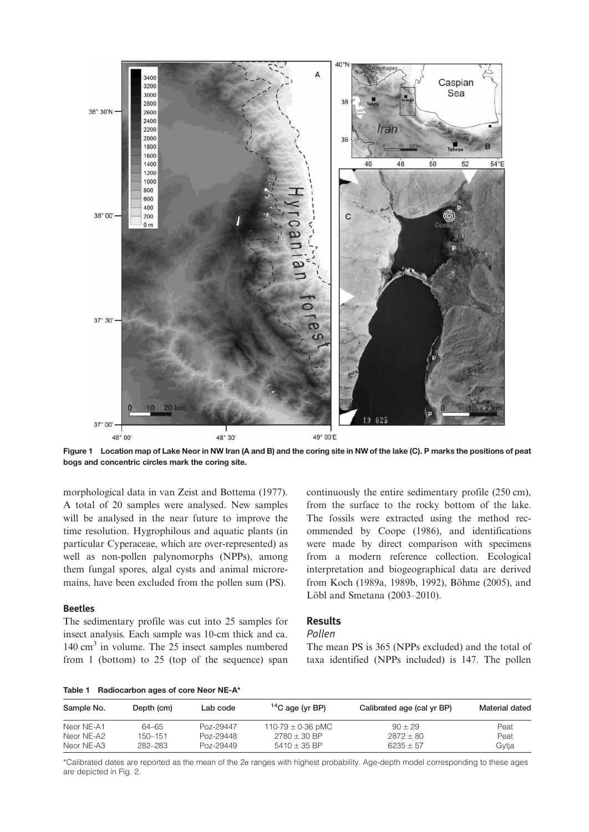

Figure 1 Location map of Lake Neor in NW Iran (A and B) and the coring site in NW of the lake (C). P marks the positions of peat bogs and concentric circles mark the coring site.

morphological data in van Zeist and Bottema (1977). A total of 20 samples were analysed. New samples will be analysed in the near future to improve the time resolution. Hygrophilous and aquatic plants (in particular Cyperaceae, which are over-represented) as well as non-pollen palynomorphs (NPPs), among them fungal spores, algal cysts and animal microremains, have been excluded from the pollen sum (PS).

#### Beetles

The sedimentary profile was cut into 25 samples for insect analysis. Each sample was 10-cm thick and ca. 140 cm3 in volume. The 25 insect samples numbered from 1 (bottom) to 25 (top of the sequence) span continuously the entire sedimentary profile (250 cm), from the surface to the rocky bottom of the lake. The fossils were extracted using the method recommended by Coope (1986), and identifications were made by direct comparison with specimens from a modern reference collection. Ecological interpretation and biogeographical data are derived from Koch (1989a, 1989b, 1992), Böhme (2005), and Löbl and Smetana (2003–2010).

#### Results

#### Pollen

The mean PS is 365 (NPPs excluded) and the total of taxa identified (NPPs included) is 147. The pollen

| Sample No. | Depth (cm) | Lab code  | $14$ C age (yr BP)    | Calibrated age (cal yr BP) | Material dated |
|------------|------------|-----------|-----------------------|----------------------------|----------------|
| Neor NE-A1 | 64–65      | Poz-29447 | 110.79 $\pm$ 0.36 pMC | $90 + 29$                  | Peat           |
| Neor NE-A2 | 150–151    | Poz-29448 | $2780 + 30$ BP        | $2872 + 80$                | Peat           |
| Neor NE-A3 | 282-283    | Poz-29449 | $5410 + 35$ BP        | $6235 + 57$                | Gytja          |

\*Calibrated dates are reported as the mean of the 2σ ranges with highest probability. Age-depth model corresponding to these ages are depicted in Fig. 2.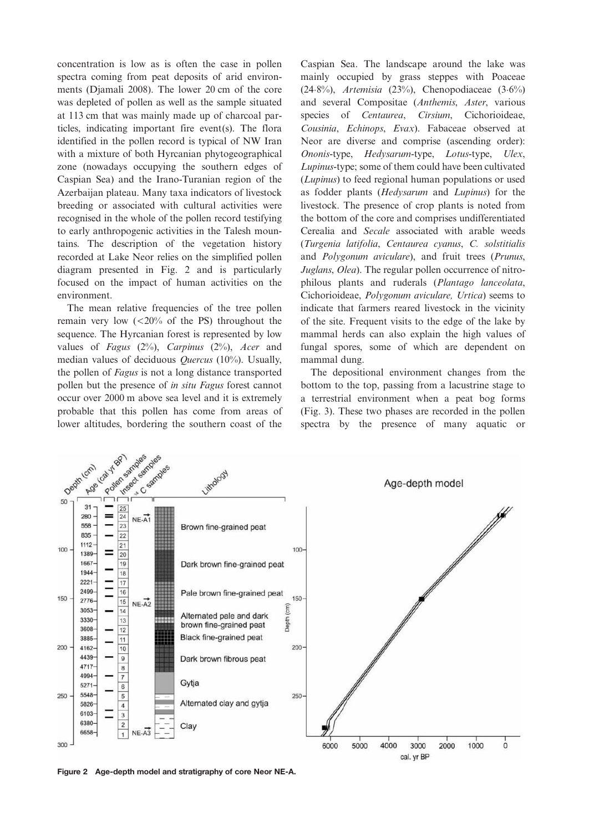concentration is low as is often the case in pollen spectra coming from peat deposits of arid environments (Djamali 2008). The lower 20 cm of the core was depleted of pollen as well as the sample situated at 113 cm that was mainly made up of charcoal particles, indicating important fire event(s). The flora identified in the pollen record is typical of NW Iran with a mixture of both Hyrcanian phytogeographical zone (nowadays occupying the southern edges of Caspian Sea) and the Irano-Turanian region of the Azerbaijan plateau. Many taxa indicators of livestock breeding or associated with cultural activities were recognised in the whole of the pollen record testifying to early anthropogenic activities in the Talesh mountains. The description of the vegetation history recorded at Lake Neor relies on the simplified pollen diagram presented in Fig. 2 and is particularly focused on the impact of human activities on the environment.

The mean relative frequencies of the tree pollen remain very low  $(<20\%$  of the PS) throughout the sequence. The Hyrcanian forest is represented by low values of Fagus (2%), Carpinus (2%), Acer and median values of deciduous Quercus (10%). Usually, the pollen of Fagus is not a long distance transported pollen but the presence of in situ Fagus forest cannot occur over 2000 m above sea level and it is extremely probable that this pollen has come from areas of lower altitudes, bordering the southern coast of the

Caspian Sea. The landscape around the lake was mainly occupied by grass steppes with Poaceae (24·8%), Artemisia (23%), Chenopodiaceae (3·6%) and several Compositae (Anthemis, Aster, various species of *Centaurea*, *Cirsium*, *Cichorioideae*, Cousinia, Echinops, Evax). Fabaceae observed at Neor are diverse and comprise (ascending order): Ononis-type, Hedysarum-type, Lotus-type, Ulex, Lupinus-type; some of them could have been cultivated (Lupinus) to feed regional human populations or used as fodder plants (Hedysarum and Lupinus) for the livestock. The presence of crop plants is noted from the bottom of the core and comprises undifferentiated Cerealia and Secale associated with arable weeds (Turgenia latifolia, Centaurea cyanus, C. solstitialis and Polygonum aviculare), and fruit trees (Prunus, Juglans, Olea). The regular pollen occurrence of nitrophilous plants and ruderals (Plantago lanceolata, Cichorioideae, Polygonum aviculare, Urtica) seems to indicate that farmers reared livestock in the vicinity of the site. Frequent visits to the edge of the lake by mammal herds can also explain the high values of fungal spores, some of which are dependent on mammal dung.

The depositional environment changes from the bottom to the top, passing from a lacustrine stage to a terrestrial environment when a peat bog forms (Fig. 3). These two phases are recorded in the pollen spectra by the presence of many aquatic or



Figure 2 Age-depth model and stratigraphy of core Neor NE-A.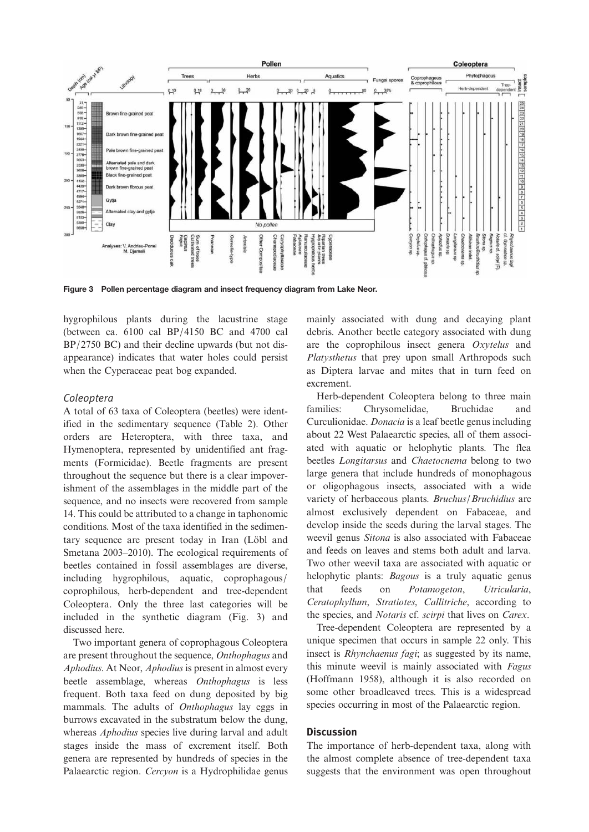

Figure 3 Pollen percentage diagram and insect frequency diagram from Lake Neor.

hygrophilous plants during the lacustrine stage (between ca. 6100 cal BP/4150 BC and 4700 cal BP/2750 BC) and their decline upwards (but not disappearance) indicates that water holes could persist when the Cyperaceae peat bog expanded.

#### Coleoptera

A total of 63 taxa of Coleoptera (beetles) were identified in the sedimentary sequence (Table 2). Other orders are Heteroptera, with three taxa, and Hymenoptera, represented by unidentified ant fragments (Formicidae). Beetle fragments are present throughout the sequence but there is a clear impoverishment of the assemblages in the middle part of the sequence, and no insects were recovered from sample 14. This could be attributed to a change in taphonomic conditions. Most of the taxa identified in the sedimentary sequence are present today in Iran (Löbl and Smetana 2003–2010). The ecological requirements of beetles contained in fossil assemblages are diverse, including hygrophilous, aquatic, coprophagous/ coprophilous, herb-dependent and tree-dependent Coleoptera. Only the three last categories will be included in the synthetic diagram (Fig. 3) and discussed here.

Two important genera of coprophagous Coleoptera are present throughout the sequence, Onthophagus and Aphodius. At Neor, Aphodius is present in almost every beetle assemblage, whereas Onthophagus is less frequent. Both taxa feed on dung deposited by big mammals. The adults of *Onthophagus* lay eggs in burrows excavated in the substratum below the dung, whereas *Aphodius* species live during larval and adult stages inside the mass of excrement itself. Both genera are represented by hundreds of species in the Palaearctic region. Cercyon is a Hydrophilidae genus mainly associated with dung and decaying plant debris. Another beetle category associated with dung are the coprophilous insect genera Oxytelus and Platysthetus that prey upon small Arthropods such as Diptera larvae and mites that in turn feed on excrement.

Herb-dependent Coleoptera belong to three main families: Chrysomelidae, Bruchidae and Curculionidae. Donacia is a leaf beetle genus including about 22 West Palaearctic species, all of them associated with aquatic or helophytic plants. The flea beetles Longitarsus and Chaetocnema belong to two large genera that include hundreds of monophagous or oligophagous insects, associated with a wide variety of herbaceous plants. Bruchus/Bruchidius are almost exclusively dependent on Fabaceae, and develop inside the seeds during the larval stages. The weevil genus Sitona is also associated with Fabaceae and feeds on leaves and stems both adult and larva. Two other weevil taxa are associated with aquatic or helophytic plants: *Bagous* is a truly aquatic genus that feeds on Potamogeton, Utricularia, Ceratophyllum, Stratiotes, Callitriche, according to the species, and Notaris cf. scirpi that lives on Carex.

Tree-dependent Coleoptera are represented by a unique specimen that occurs in sample 22 only. This insect is *Rhynchaenus fagi*; as suggested by its name, this minute weevil is mainly associated with Fagus (Hoffmann 1958), although it is also recorded on some other broadleaved trees. This is a widespread species occurring in most of the Palaearctic region.

#### **Discussion**

The importance of herb-dependent taxa, along with the almost complete absence of tree-dependent taxa suggests that the environment was open throughout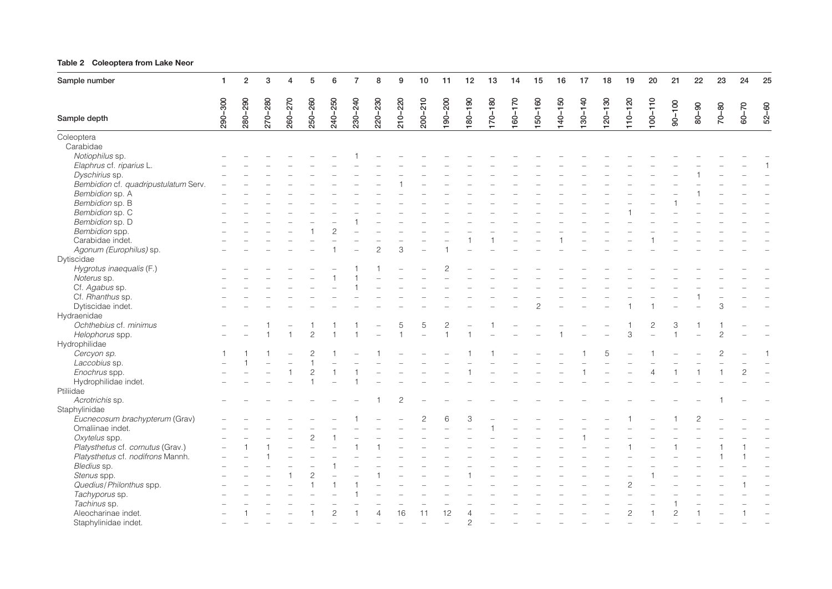#### Table 2 Coleoptera from Lake Neor

| Sample number                        | 1       | $\overline{2}$ | 3       | Δ       | 5              | 6              |         | 8        | 9                   | 10          | 11      | 12       | 13          | 14      | 15      | 16      | 17          | 18          | 19             | 20             | 21             | 22        | 23            | 24            | 25        |
|--------------------------------------|---------|----------------|---------|---------|----------------|----------------|---------|----------|---------------------|-------------|---------|----------|-------------|---------|---------|---------|-------------|-------------|----------------|----------------|----------------|-----------|---------------|---------------|-----------|
| Sample depth                         | 290-300 | 280-290        | 270-280 | 260-270 | 250-260        | 240-250        | 230-240 | 220-230  | $210 - 220$         | $200 - 210$ | 190-200 | 180-190  | $170 - 180$ | 160-170 | 150-160 | 140-150 | $130 - 140$ | $120 - 130$ | $110 - 120$    | $100 - 110$    | $90 - 100$     | $80 - 90$ | $70 - 80$     | $60 - 70$     | $52 - 60$ |
| Coleoptera                           |         |                |         |         |                |                |         |          |                     |             |         |          |             |         |         |         |             |             |                |                |                |           |               |               |           |
| Carabidae                            |         |                |         |         |                |                |         |          |                     |             |         |          |             |         |         |         |             |             |                |                |                |           |               |               |           |
| Notiophilus sp.                      |         |                |         |         |                |                |         |          |                     |             |         |          |             |         |         |         |             |             |                |                |                |           |               |               |           |
| Elaphrus cf. riparius L.             |         |                |         |         |                |                |         |          |                     |             |         |          |             |         |         |         |             |             |                |                |                |           |               |               |           |
| Dyschirius sp.                       |         |                |         |         |                |                |         |          |                     |             |         |          |             |         |         |         |             |             |                |                |                |           |               |               |           |
| Bembidion cf. quadripustulatum Serv. |         |                |         |         |                |                |         |          |                     |             |         |          |             |         |         |         |             |             |                |                |                |           |               |               |           |
| Bembidion sp. A                      |         |                |         |         |                |                |         |          |                     |             |         |          |             |         |         |         |             |             |                |                |                |           |               |               |           |
| Bembidion sp. B                      |         |                |         |         |                |                |         |          |                     |             |         |          |             |         |         |         |             |             |                |                |                |           |               |               |           |
| Bembidion sp. C                      |         |                |         |         |                |                |         |          |                     |             |         |          |             |         |         |         |             |             |                |                |                |           |               |               |           |
| Bembidion sp. D                      |         |                |         |         |                |                |         |          |                     |             |         |          |             |         |         |         |             |             |                |                |                |           |               |               |           |
| Bembidion spp.                       |         |                |         |         |                |                |         |          |                     |             |         |          |             |         |         |         |             |             |                |                |                |           |               |               |           |
| Carabidae indet.                     |         |                |         |         |                |                |         |          |                     |             |         |          |             |         |         |         |             |             |                |                |                |           |               |               |           |
| Agonum (Europhilus) sp.              |         |                |         |         |                |                |         |          | 3                   |             |         |          |             |         |         |         |             |             |                |                |                |           |               |               |           |
| Dytiscidae                           |         |                |         |         |                |                |         |          |                     |             |         |          |             |         |         |         |             |             |                |                |                |           |               |               |           |
| Hygrotus inaequalis (F.)             |         |                |         |         |                |                |         |          |                     |             |         |          |             |         |         |         |             |             |                |                |                |           |               |               |           |
| Noterus sp.                          |         |                |         |         |                |                |         |          |                     |             |         |          |             |         |         |         |             |             |                |                |                |           |               |               |           |
| Cf. Agabus sp.                       |         |                |         |         |                |                |         |          |                     |             |         |          |             |         |         |         |             |             |                |                |                |           |               |               |           |
| Cf. Rhanthus sp.                     |         |                |         |         |                |                |         |          |                     |             |         |          |             |         |         |         |             |             |                |                |                |           |               |               |           |
| Dytiscidae indet.                    |         |                |         |         |                |                |         |          |                     |             |         |          |             |         |         |         |             |             |                |                |                |           | 3             |               |           |
| Hydraenidae                          |         |                |         |         |                |                |         |          |                     |             |         |          |             |         |         |         |             |             |                |                |                |           |               |               |           |
| Ochthebius cf. minimus               |         |                |         |         |                |                |         |          |                     |             |         |          |             |         |         |         |             |             |                | $\overline{c}$ |                |           |               |               |           |
|                                      |         |                |         |         | $\overline{c}$ |                |         |          | 5<br>$\overline{1}$ | 5           |         |          |             |         |         |         |             |             | 3              |                | 3              |           | $\mathcal{P}$ |               |           |
| Helophorus spp.                      |         |                |         |         |                |                |         |          |                     |             |         |          |             |         |         |         |             |             |                |                |                |           |               |               |           |
| Hydrophilidae                        |         |                |         |         |                |                |         |          |                     |             |         |          |             |         |         |         |             |             |                |                |                |           |               |               |           |
| Cercyon sp.                          |         |                |         |         |                |                |         |          |                     |             |         |          |             |         |         |         |             |             |                |                |                |           |               |               |           |
| Laccobius sp.                        |         |                |         |         |                |                |         |          |                     |             |         |          |             |         |         |         |             |             |                |                |                |           |               |               |           |
| Enochrus spp.                        |         |                |         |         |                |                |         |          |                     |             |         |          |             |         |         |         |             |             |                |                |                |           |               | $\mathcal{P}$ |           |
| Hydrophilidae indet.                 |         |                |         |         |                |                |         |          |                     |             |         |          |             |         |         |         |             |             |                |                |                |           |               |               |           |
| Ptiliidae                            |         |                |         |         |                |                |         |          |                     |             |         |          |             |         |         |         |             |             |                |                |                |           |               |               |           |
| Acrotrichis sp.                      |         |                |         |         |                |                |         |          | $\mathfrak{D}$      |             |         |          |             |         |         |         |             |             |                |                |                |           |               |               |           |
| Staphylinidae                        |         |                |         |         |                |                |         |          |                     |             |         |          |             |         |         |         |             |             |                |                |                |           |               |               |           |
| Eucnecosum brachypterum (Grav)       |         |                |         |         |                |                |         |          |                     |             | 6       | 3        |             |         |         |         |             |             |                |                |                |           |               |               |           |
| Omaliinae indet.                     |         |                |         |         |                |                |         |          |                     |             |         |          |             |         |         |         |             |             |                |                |                |           |               |               |           |
| Oxytelus spp.                        |         |                |         |         |                |                |         |          |                     |             |         |          |             |         |         |         |             |             |                |                |                |           |               |               |           |
| Platysthetus cf. cornutus (Grav.)    |         |                |         |         |                |                |         |          |                     |             |         |          |             |         |         |         |             |             |                |                |                |           |               |               |           |
| Platysthetus cf. nodifrons Mannh.    |         |                |         |         |                |                |         |          |                     |             |         |          |             |         |         |         |             |             |                |                |                |           |               |               |           |
| Bledius sp.                          |         |                |         |         |                |                |         |          |                     |             |         |          |             |         |         |         |             |             |                |                |                |           |               |               |           |
| Stenus spp.                          |         |                |         |         |                |                |         |          |                     |             |         |          |             |         |         |         |             |             |                |                |                |           |               |               |           |
| Quedius/Philonthus spp.              |         |                |         |         |                |                |         |          |                     |             |         |          |             |         |         |         |             |             |                |                |                |           |               |               |           |
| Tachyporus sp.                       |         |                |         |         |                |                |         |          |                     |             |         |          |             |         |         |         |             |             |                |                |                |           |               |               |           |
| Tachinus sp.                         |         |                |         |         |                |                |         |          |                     |             |         |          |             |         |         |         |             |             |                |                |                |           |               |               |           |
| Aleocharinae indet.                  |         |                |         |         |                | $\overline{c}$ |         | $\Delta$ | 16                  | 11          | 12      | $\Delta$ |             |         |         |         |             |             | $\overline{c}$ |                | $\overline{c}$ |           |               |               |           |
| Staphylinidae indet.                 |         |                |         |         |                |                |         |          |                     |             |         | 2        |             |         |         |         |             |             |                |                |                |           |               |               |           |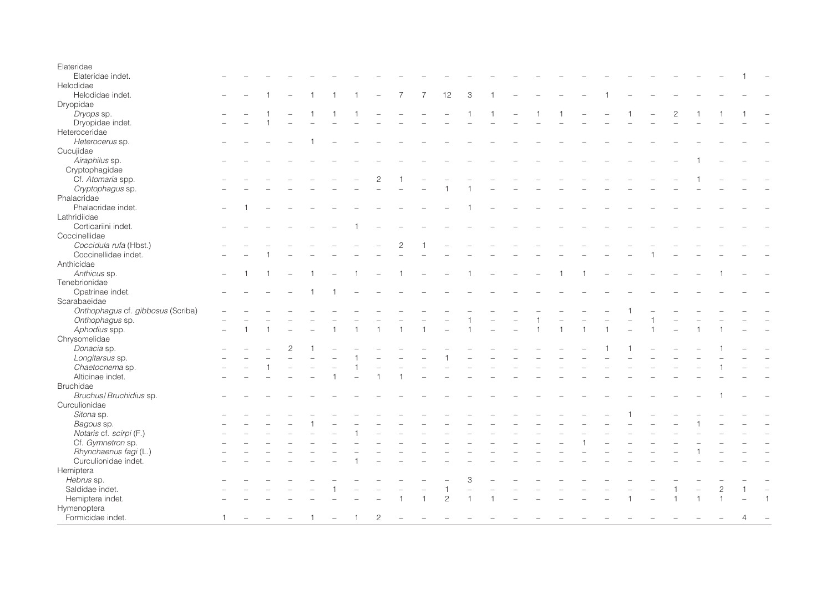| Elateridae                                           |                |  |                |  |                |                |                |                |   |  |                |                |                |  |   |   |                |
|------------------------------------------------------|----------------|--|----------------|--|----------------|----------------|----------------|----------------|---|--|----------------|----------------|----------------|--|---|---|----------------|
| Elateridae indet.                                    |                |  |                |  |                |                |                |                |   |  |                |                |                |  |   |   |                |
| Helodidae                                            |                |  |                |  |                |                |                |                |   |  |                |                |                |  |   |   |                |
| Helodidae indet.                                     |                |  | $\overline{1}$ |  |                | $\overline{7}$ | $\overline{7}$ | 12             | 3 |  |                |                |                |  |   |   |                |
| Dryopidae                                            |                |  |                |  |                |                |                |                |   |  |                |                |                |  |   |   |                |
| Dryops sp.                                           |                |  |                |  |                |                |                |                |   |  |                |                |                |  | 2 |   |                |
| Dryopidae indet.                                     |                |  |                |  |                |                |                |                |   |  |                |                |                |  |   |   |                |
| Heteroceridae                                        |                |  |                |  |                |                |                |                |   |  |                |                |                |  |   |   |                |
| Heterocerus sp.                                      |                |  |                |  |                |                |                |                |   |  |                |                |                |  |   |   |                |
| Cucujidae                                            |                |  |                |  |                |                |                |                |   |  |                |                |                |  |   |   |                |
| Airaphilus sp.                                       |                |  |                |  |                |                |                |                |   |  |                |                |                |  |   |   |                |
| Cryptophagidae                                       |                |  |                |  |                |                |                |                |   |  |                |                |                |  |   |   |                |
| Cf. Atomaria spp.                                    |                |  |                |  | 2              |                |                |                |   |  |                |                |                |  |   |   |                |
| Cryptophagus sp.                                     |                |  |                |  |                |                |                |                |   |  |                |                |                |  |   |   |                |
| Phalacridae                                          |                |  |                |  |                |                |                |                |   |  |                |                |                |  |   |   |                |
| Phalacridae indet.                                   |                |  |                |  |                |                |                |                |   |  |                |                |                |  |   |   |                |
| Lathridiidae                                         |                |  |                |  |                |                |                |                |   |  |                |                |                |  |   |   |                |
| Corticariini indet.                                  |                |  |                |  |                |                |                |                |   |  |                |                |                |  |   |   |                |
| Coccinellidae                                        |                |  |                |  |                |                |                |                |   |  |                |                |                |  |   |   |                |
| Coccidula rufa (Hbst.)                               |                |  |                |  |                |                |                |                |   |  |                |                |                |  |   |   |                |
| Coccinellidae indet.                                 |                |  |                |  |                |                |                |                |   |  |                |                |                |  |   |   |                |
| Anthicidae                                           |                |  |                |  |                |                |                |                |   |  |                |                |                |  |   |   |                |
| Anthicus sp.                                         |                |  |                |  |                |                |                |                |   |  |                |                |                |  |   |   |                |
| Tenebrionidae                                        |                |  |                |  |                |                |                |                |   |  |                |                |                |  |   |   |                |
| Opatrinae indet.                                     |                |  |                |  |                |                |                |                |   |  |                |                |                |  |   |   |                |
| Scarabaeidae                                         |                |  |                |  |                |                |                |                |   |  |                |                |                |  |   |   |                |
|                                                      |                |  |                |  |                |                |                |                |   |  |                |                |                |  |   |   |                |
| Onthophagus cf. gibbosus (Scriba)<br>Onthophagus sp. |                |  |                |  |                |                |                |                |   |  |                |                |                |  |   |   |                |
|                                                      |                |  |                |  |                |                |                |                |   |  | $\overline{1}$ | $\overline{1}$ | $\overline{1}$ |  |   |   |                |
| Aphodius spp.                                        |                |  |                |  |                |                |                |                |   |  |                |                |                |  |   |   |                |
| Chrysomelidae                                        |                |  |                |  |                |                |                |                |   |  |                |                |                |  |   |   |                |
| Donacia sp.                                          |                |  |                |  |                |                |                |                |   |  |                |                |                |  |   |   |                |
| Longitarsus sp.                                      |                |  |                |  |                |                |                |                |   |  |                |                |                |  |   |   |                |
| Chaetocnema sp.                                      |                |  |                |  |                |                |                |                |   |  |                |                |                |  |   |   |                |
| Alticinae indet.                                     |                |  |                |  |                |                |                |                |   |  |                |                |                |  |   |   |                |
| <b>Bruchidae</b>                                     |                |  |                |  |                |                |                |                |   |  |                |                |                |  |   |   |                |
| Bruchus/Bruchidius sp.                               |                |  |                |  |                |                |                |                |   |  |                |                |                |  |   |   |                |
| Curculionidae                                        |                |  |                |  |                |                |                |                |   |  |                |                |                |  |   |   |                |
| Sitona sp.                                           |                |  |                |  |                |                |                |                |   |  |                |                |                |  |   |   |                |
| Bagous sp.                                           |                |  |                |  |                |                |                |                |   |  |                |                |                |  |   |   |                |
| Notaris cf. scirpi (F.)                              |                |  |                |  |                |                |                |                |   |  |                |                |                |  |   |   |                |
| Cf. Gymnetron sp.                                    |                |  |                |  |                |                |                |                |   |  |                |                |                |  |   |   |                |
| Rhynchaenus fagi (L.)                                |                |  |                |  |                |                |                |                |   |  |                |                |                |  |   |   |                |
| Curculionidae indet.                                 |                |  |                |  |                |                |                |                |   |  |                |                |                |  |   |   |                |
| Hemiptera                                            |                |  |                |  |                |                |                |                |   |  |                |                |                |  |   |   |                |
| Hebrus sp.                                           |                |  |                |  |                |                |                |                | 3 |  |                |                |                |  |   |   |                |
| Saldidae indet.                                      |                |  |                |  |                |                |                |                |   |  |                |                |                |  |   | 2 |                |
| Hemiptera indet.                                     |                |  |                |  |                |                |                | $\overline{c}$ |   |  |                |                |                |  |   |   | $\overline{1}$ |
| Hymenoptera                                          |                |  |                |  |                |                |                |                |   |  |                |                |                |  |   |   |                |
| Formicidae indet.                                    | $\overline{1}$ |  |                |  | $\overline{c}$ |                |                |                |   |  |                |                |                |  |   |   |                |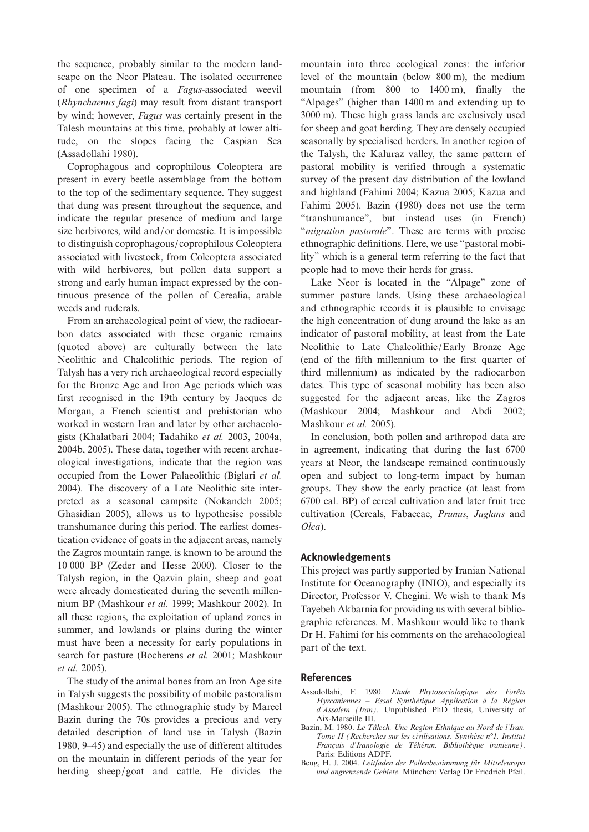the sequence, probably similar to the modern landscape on the Neor Plateau. The isolated occurrence of one specimen of a Fagus-associated weevil (Rhynchaenus fagi) may result from distant transport by wind; however, Fagus was certainly present in the Talesh mountains at this time, probably at lower altitude, on the slopes facing the Caspian Sea (Assadollahi 1980).

Coprophagous and coprophilous Coleoptera are present in every beetle assemblage from the bottom to the top of the sedimentary sequence. They suggest that dung was present throughout the sequence, and indicate the regular presence of medium and large size herbivores, wild and/or domestic. It is impossible to distinguish coprophagous/coprophilous Coleoptera associated with livestock, from Coleoptera associated with wild herbivores, but pollen data support a strong and early human impact expressed by the continuous presence of the pollen of Cerealia, arable weeds and ruderals.

From an archaeological point of view, the radiocarbon dates associated with these organic remains (quoted above) are culturally between the late Neolithic and Chalcolithic periods. The region of Talysh has a very rich archaeological record especially for the Bronze Age and Iron Age periods which was first recognised in the 19th century by Jacques de Morgan, a French scientist and prehistorian who worked in western Iran and later by other archaeologists (Khalatbari 2004; Tadahiko et al. 2003, 2004a, 2004b, 2005). These data, together with recent archaeological investigations, indicate that the region was occupied from the Lower Palaeolithic (Biglari et al. 2004). The discovery of a Late Neolithic site interpreted as a seasonal campsite (Nokandeh 2005; Ghasidian 2005), allows us to hypothesise possible transhumance during this period. The earliest domestication evidence of goats in the adjacent areas, namely the Zagros mountain range, is known to be around the 10 000 BP (Zeder and Hesse 2000). Closer to the Talysh region, in the Qazvin plain, sheep and goat were already domesticated during the seventh millennium BP (Mashkour et al. 1999; Mashkour 2002). In all these regions, the exploitation of upland zones in summer, and lowlands or plains during the winter must have been a necessity for early populations in search for pasture (Bocherens et al. 2001; Mashkour et al. 2005).

The study of the animal bones from an Iron Age site in Talysh suggests the possibility of mobile pastoralism (Mashkour 2005). The ethnographic study by Marcel Bazin during the 70s provides a precious and very detailed description of land use in Talysh (Bazin 1980, 9–45) and especially the use of different altitudes on the mountain in different periods of the year for herding sheep/goat and cattle. He divides the

mountain into three ecological zones: the inferior level of the mountain (below 800 m), the medium mountain (from 800 to 1400 m), finally the "Alpages" (higher than 1400 m and extending up to 3000 m). These high grass lands are exclusively used for sheep and goat herding. They are densely occupied seasonally by specialised herders. In another region of the Talysh, the Kaluraz valley, the same pattern of pastoral mobility is verified through a systematic survey of the present day distribution of the lowland and highland (Fahimi 2004; Kazua 2005; Kazua and Fahimi 2005). Bazin (1980) does not use the term "transhumance", but instead uses (in French) "migration pastorale". These are terms with precise ethnographic definitions. Here, we use "pastoral mobility" which is a general term referring to the fact that people had to move their herds for grass.

Lake Neor is located in the "Alpage" zone of summer pasture lands. Using these archaeological and ethnographic records it is plausible to envisage the high concentration of dung around the lake as an indicator of pastoral mobility, at least from the Late Neolithic to Late Chalcolithic/Early Bronze Age (end of the fifth millennium to the first quarter of third millennium) as indicated by the radiocarbon dates. This type of seasonal mobility has been also suggested for the adjacent areas, like the Zagros (Mashkour 2004; Mashkour and Abdi 2002; Mashkour et al. 2005).

In conclusion, both pollen and arthropod data are in agreement, indicating that during the last 6700 years at Neor, the landscape remained continuously open and subject to long-term impact by human groups. They show the early practice (at least from 6700 cal. BP) of cereal cultivation and later fruit tree cultivation (Cereals, Fabaceae, Prunus, Juglans and Olea).

#### Acknowledgements

This project was partly supported by Iranian National Institute for Oceanography (INIO), and especially its Director, Professor V. Chegini. We wish to thank Ms Tayebeh Akbarnia for providing us with several bibliographic references. M. Mashkour would like to thank Dr H. Fahimi for his comments on the archaeological part of the text.

#### References

- Assadollahi, F. 1980. Etude Phytosociologique des Forêts Hyrcaniennes – Essai Synthétique Application à la Région d'Assalem (Iran). Unpublished PhD thesis, University of Aix-Marseille III.
- Bazin, M. 1980. Le Tâlech. Une Region Ethnique au Nord de l'Iran. Tome II (Recherches sur les civilisations. Synthèse n°1. Institut Français d'Iranologie de Téhéran. Bibliothèque iranienne). Paris: Editions ADPF.
- Beug, H. J. 2004. Leitfaden der Pollenbestimmung für Mitteleuropa und angrenzende Gebiete. München: Verlag Dr Friedrich Pfeil.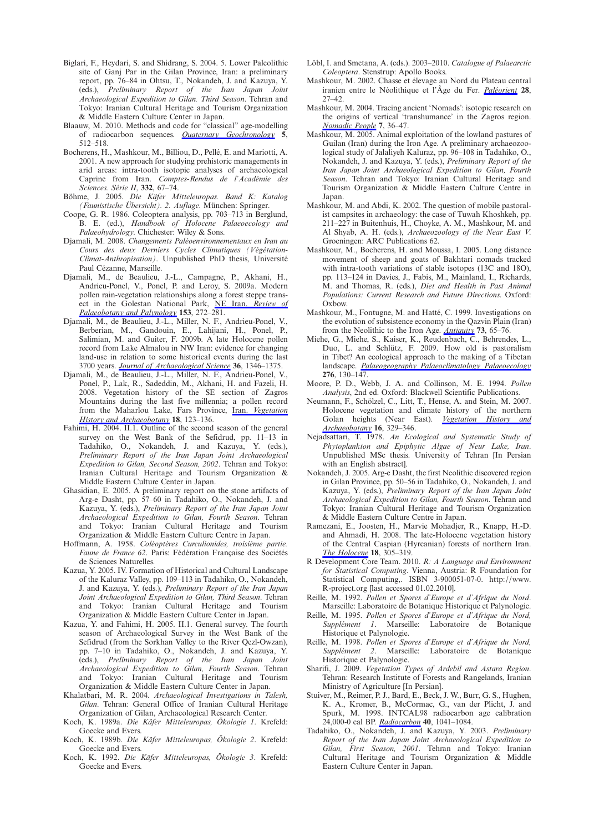- Biglari, F., Heydari, S. and Shidrang, S. 2004. 5. Lower Paleolithic site of Ganj Par in the Gilan Province, Iran: a preliminary report, pp. 76–84 in Ohtsu, T., Nokandeh, J. and Kazuya, Y. (eds.), Preliminary Report of the Iran Japan Joint Archaeological Expedition to Gilan. Third Season. Tehran and Tokyo: Iranian Cultural Heritage and Tourism Organization & Middle Eastern Culture Center in Japan.
- Blaauw, M. 2010. Methods and code for "classical" age-modelling of radiocarbon sequences. *[Quaternary Geochronology](http://www.maneyonline.com/action/showLinks?crossref=10.1016%2Fj.quageo.2010.01.002&isi=000285907700002)* 5, 512–518.
- Bocherens, H., Mashkour, M., Billiou, D., Pellé, E. and Mariotti, A. 2001. A new approach for studying prehistoric managements in arid areas: intra-tooth isotopic analyses of archaeological Caprine from Iran. Comptes-Rendus de l'Académie des Sciences. Série II, 332, 67–74.
- Böhme, J. 2005. Die Käfer Mitteleuropas. Band K: Katalog (Faunistische Übersicht). 2. Auflage. München: Springer.
- Coope, G. R. 1986. Coleoptera analysis, pp. 703–713 in Berglund, B. E. (ed.), Handbook of Holocene Palaeoecology and Palaeohydrology. Chichester: Wiley & Sons.
- Djamali, M. 2008. Changements Paléoenvironnementaux en Iran au Cours des deux Derniers Cycles Climatiques (Végétation-Climat-Anthropisation). Unpublished PhD thesis, Université Paul Cézanne, Marseille.
- Djamali, M., de Beaulieu, J.-L., Campagne, P., Akhani, H., Andrieu-Ponel, V., Ponel, P. and Leroy, S. 2009a. Modern pollen rain-vegetation relationships along a forest steppe trans-ect in the Golestan National Park, NE Iran. [Review of](http://www.maneyonline.com/action/showLinks?crossref=10.1016%2Fj.revpalbo.2008.08.005&isi=000263853500005) [Palaeobotany and Palynology](http://www.maneyonline.com/action/showLinks?crossref=10.1016%2Fj.revpalbo.2008.08.005&isi=000263853500005) 153, 272-281.
- Djamali, M., de Beaulieu, J.-L., Miller, N. F., Andrieu-Ponel, V., Berberian, M., Gandouin, E., Lahijani, H., Ponel, P., Salimian, M. and Guiter, F. 2009b. A late Holocene pollen record from Lake Almalou in NW Iran: evidence for changing land-use in relation to some historical events during the last 3700 years. *[Journal of Archaeological Science](http://www.maneyonline.com/action/showLinks?crossref=10.1016%2Fj.jas.2009.01.022&isi=000266642600009)* 36, 1346-1375.
- Djamali, M., de Beaulieu, J.-L., Miller, N. F., Andrieu-Ponel, V., Ponel, P., Lak, R., Sadeddin, M., Akhani, H. and Fazeli, H. 2008. Vegetation history of the SE section of Zagros Mountains during the last five millennia; a pollen record from the Maharlou Lake, Fars Province, Iran. [Vegetation](http://www.maneyonline.com/action/showLinks?crossref=10.1007%2Fs00334-008-0178-2&isi=000262832200002) [History and Archaeobotany](http://www.maneyonline.com/action/showLinks?crossref=10.1007%2Fs00334-008-0178-2&isi=000262832200002) 18, 123-136.
- Fahimi, H. 2004. II.1. Outline of the second season of the general survey on the West Bank of the Sefidrud, pp. 11–13 in Tadahiko, O., Nokandeh, J. and Kazuya, Y. (eds.), Preliminary Report of the Iran Japan Joint Archaeological Expedition to Gilan, Second Season, 2002. Tehran and Tokyo: Iranian Cultural Heritage and Tourism Organization & Middle Eastern Culture Center in Japan.
- Ghasidian, E. 2005. A preliminary report on the stone artifacts of Arg-e Dasht, pp. 57–60 in Tadahiko, O., Nokandeh, J. and Kazuya, Y. (eds.), Preliminary Report of the Iran Japan Joint Archaeological Expedition to Gilan, Fourth Season. Tehran and Tokyo: Iranian Cultural Heritage and Tourism Organization & Middle Eastern Culture Centre in Japan.
- Hoffmann, A. 1958. Coléoptères Curculionides, troisième partie. Faune de France 62. Paris: Fédération Française des Sociétés de Sciences Naturelles.
- Kazua, Y. 2005. IV. Formation of Historical and Cultural Landscape of the Kaluraz Valley, pp. 109–113 in Tadahiko, O., Nokandeh, J. and Kazuya, Y. (eds.), Preliminary Report of the Iran Japan Joint Archaeological Expedition to Gilan, Third Season. Tehran and Tokyo: Iranian Cultural Heritage and Tourism Organization & Middle Eastern Culture Center in Japan.
- Kazua, Y. and Fahimi, H. 2005. II.1. General survey. The fourth season of Archaeological Survey in the West Bank of the Sefidrud (from the Sorkhan Valley to the River Qezl-Owzan), pp. 7–10 in Tadahiko, O., Nokandeh, J. and Kazuya, Y. (eds.), Preliminary Report of the Iran Japan Joint Archaeological Expedition to Gilan, Fourth Season. Tehran and Tokyo: Iranian Cultural Heritage and Tourism Organization & Middle Eastern Culture Center in Japan.
- Khalatbari, M. R. 2004. Archaeological Investigations in Talesh, Gilan. Tehran: General Office of Iranian Cultural Heritage Organization of Gilan, Archaeological Research Center.
- Koch, K. 1989a. Die Käfer Mitteleuropas, Ökologie 1. Krefeld: Goecke and Evers.
- Koch, K. 1989b. Die Käfer Mitteleuropas, Ökologie 2. Krefeld: Goecke and Evers.
- Koch, K. 1992. Die Käfer Mitteleuropas, Ökologie 3. Krefeld: Goecke and Evers.
- Löbl, I. and Smetana, A. (eds.). 2003–2010. Catalogue of Palaearctic Coleoptera. Stenstrup: Apollo Books.
- Mashkour, M. 2002. Chasse et élevage au Nord du Plateau central iranien entre le Néolithique et l'Âge du Fer. [Paléorient](http://www.maneyonline.com/action/showLinks?crossref=10.3406%2Fpaleo.2002.4737) 28, 27–42.
- Mashkour, M. 2004. Tracing ancient 'Nomads': isotopic research on the origins of vertical 'transhumance' in the Zagros region. [Nomadic People](http://www.maneyonline.com/action/showLinks?crossref=10.3167%2F082279403781826265) 7, 36–47.
- Mashkour, M. 2005. Animal exploitation of the lowland pastures of Guilan (Iran) during the Iron Age. A preliminary archaeozoological study of Jalaliyeh Kaluraz, pp. 96–108 in Tadahiko, O., Nokandeh, J. and Kazuya, Y. (eds.), Preliminary Report of the Iran Japan Joint Archaeological Expedition to Gilan, Fourth Season. Tehran and Tokyo: Iranian Cultural Heritage and Tourism Organization & Middle Eastern Culture Centre in Japan.
- Mashkour, M. and Abdi, K. 2002. The question of mobile pastoralist campsites in archaeology: the case of Tuwah Khoshkeh, pp. 211–227 in Buitenhuis, H., Choyke, A. M., Mashkour, M. and Al Shyab, A. H. (eds.), Archaeozoology of the Near East V. Groeningen: ARC Publications 62.
- Mashkour, M., Bocherens, H. and Moussa, I. 2005. Long distance movement of sheep and goats of Bakhtari nomads tracked with intra-tooth variations of stable isotopes (13C and 18O), pp. 113–124 in Davies, J., Fabis, M., Mainland, I., Richards, M. and Thomas, R. (eds.), Diet and Health in Past Animal Populations: Current Research and Future Directions. Oxford: Oxbow.
- Mashkour, M., Fontugne, M. and Hatté, C. 1999. Investigations on the evolution of subsistence economy in the Qazvin Plain (Iran) from the Neolithic to the Iron Age. [Antiquity](http://www.maneyonline.com/action/showLinks?isi=000079294200009) 73, 65-76.
- Miehe, G., Miehe, S., Kaiser, K., Reudenbach, C., Behrendes, L., Duo, L. and Schlütz, F. 2009. How old is pastoralism in Tibet? An ecological approach to the making of a Tibetan landscape. [Palaeogeography Palaeoclimatology Palaeoecology](http://www.maneyonline.com/action/showLinks?crossref=10.1016%2Fj.palaeo.2009.03.005&isi=000266906200012) 276, 130–147.
- Moore, P. D., Webb, J. A. and Collinson, M. E. 1994. Pollen Analysis, 2nd ed. Oxford: Blackwell Scientific Publications.
- Neumann, F., Schölzel, C., Litt, T., Hense, A. and Stein, M. 2007. Holocene vegetation and climate history of the northern Golan heights (Near East). [Vegetation History and](http://www.maneyonline.com/action/showLinks?crossref=10.1007%2Fs00334-006-0046-x&isi=000245300800010) [Archaeobotany](http://www.maneyonline.com/action/showLinks?crossref=10.1007%2Fs00334-006-0046-x&isi=000245300800010) 16, 329–346.
- Nejadsattari, T. 1978. An Ecological and Systematic Study of Phytoplankton and Epiphytic Algae of Neur Lake, Iran. Unpublished MSc thesis. University of Tehran [In Persian with an English abstract].
- Nokandeh, J. 2005. Arg-e Dasht, the first Neolithic discovered region in Gilan Province, pp. 50–56 in Tadahiko, O., Nokandeh, J. and Kazuya, Y. (eds.), Preliminary Report of the Iran Japan Joint Archaeological Expedition to Gilan, Fourth Season. Tehran and Tokyo: Iranian Cultural Heritage and Tourism Organization & Middle Eastern Culture Centre in Japan.
- Ramezani, E., Joosten, H., Marvie Mohadjer, R., Knapp, H.-D. and Ahmadi, H. 2008. The late-Holocene vegetation history of the Central Caspian (Hyrcanian) forests of northern Iran. [The Holocene](http://www.maneyonline.com/action/showLinks?crossref=10.1177%2F0959683607086768&isi=000254220400009) 18, 305-319.
- R Development Core Team. 2010. R: A Language and Environment for Statistical Computing. Vienna, Austria: R Foundation for Statistical Computing,. ISBN 3-900051-07-0. [http:](http://www.R-project.org)//[www.](http://www.R-project.org) [R-project.org](http://www.R-project.org) [last accessed 01.02.2010].
- Reille, M. 1992. Pollen et Spores d'Europe et d'Afrique du Nord. Marseille: Laboratoire de Botanique Historique et Palynologie.
- Reille, M. 1995. Pollen et Spores d'Europe et d'Afrique du Nord, Supplément 1. Marseille: Laboratoire de Botanique Historique et Palynologie.
- Reille, M. 1998. Pollen et Spores d'Europe et d'Afrique du Nord, Supplément 2. Marseille: Laboratoire de Botanique Historique et Palynologie.
- Sharifi, J. 2009. Vegetation Types of Ardebil and Astara Region. Tehran: Research Institute of Forests and Rangelands, Iranian Ministry of Agriculture [In Persian].
- Stuiver, M., Reimer, P. J., Bard, E., Beck, J. W., Burr, G. S., Hughen, K. A., Kromer, B., McCormac, G., van der Plicht, J. and Spurk, M. 1998. INTCAL98 radiocarbon age calibration 24,000-0 cal BP. [Radiocarbon](http://www.maneyonline.com/action/showLinks?isi=000077958300004) 40, 1041-1084.
- Tadahiko, O., Nokandeh, J. and Kazuya, Y. 2003. Preliminary Report of the Iran Japan Joint Archaeological Expedition to Gilan, First Season, 2001. Tehran and Tokyo: Iranian Cultural Heritage and Tourism Organization & Middle Eastern Culture Center in Japan.